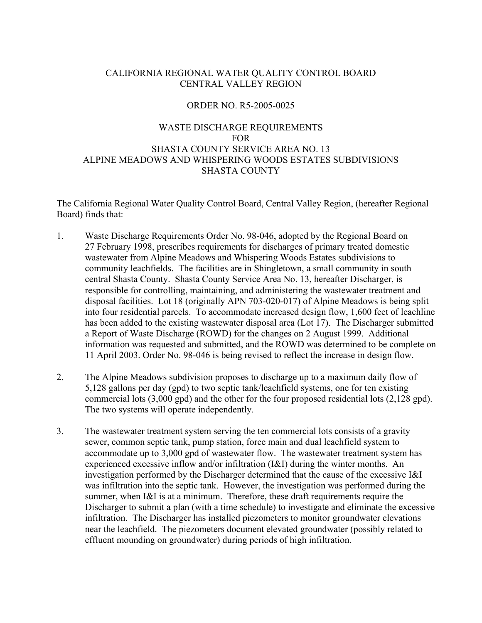# CALIFORNIA REGIONAL WATER QUALITY CONTROL BOARD CENTRAL VALLEY REGION

### ORDER NO. R5-2005-0025

### WASTE DISCHARGE REQUIREMENTS FOR SHASTA COUNTY SERVICE AREA NO. 13 ALPINE MEADOWS AND WHISPERING WOODS ESTATES SUBDIVISIONS SHASTA COUNTY

The California Regional Water Quality Control Board, Central Valley Region, (hereafter Regional Board) finds that:

- 1. Waste Discharge Requirements Order No. 98-046, adopted by the Regional Board on 27 February 1998, prescribes requirements for discharges of primary treated domestic wastewater from Alpine Meadows and Whispering Woods Estates subdivisions to community leachfields. The facilities are in Shingletown, a small community in south central Shasta County. Shasta County Service Area No. 13, hereafter Discharger, is responsible for controlling, maintaining, and administering the wastewater treatment and disposal facilities. Lot 18 (originally APN 703-020-017) of Alpine Meadows is being split into four residential parcels. To accommodate increased design flow, 1,600 feet of leachline has been added to the existing wastewater disposal area (Lot 17). The Discharger submitted a Report of Waste Discharge (ROWD) for the changes on 2 August 1999. Additional information was requested and submitted, and the ROWD was determined to be complete on 11 April 2003. Order No. 98-046 is being revised to reflect the increase in design flow.
- 2. The Alpine Meadows subdivision proposes to discharge up to a maximum daily flow of 5,128 gallons per day (gpd) to two septic tank/leachfield systems, one for ten existing commercial lots (3,000 gpd) and the other for the four proposed residential lots (2,128 gpd). The two systems will operate independently.
- 3. The wastewater treatment system serving the ten commercial lots consists of a gravity sewer, common septic tank, pump station, force main and dual leachfield system to accommodate up to 3,000 gpd of wastewater flow. The wastewater treatment system has experienced excessive inflow and/or infiltration (I&I) during the winter months. An investigation performed by the Discharger determined that the cause of the excessive I&I was infiltration into the septic tank. However, the investigation was performed during the summer, when I&I is at a minimum. Therefore, these draft requirements require the Discharger to submit a plan (with a time schedule) to investigate and eliminate the excessive infiltration. The Discharger has installed piezometers to monitor groundwater elevations near the leachfield. The piezometers document elevated groundwater (possibly related to effluent mounding on groundwater) during periods of high infiltration.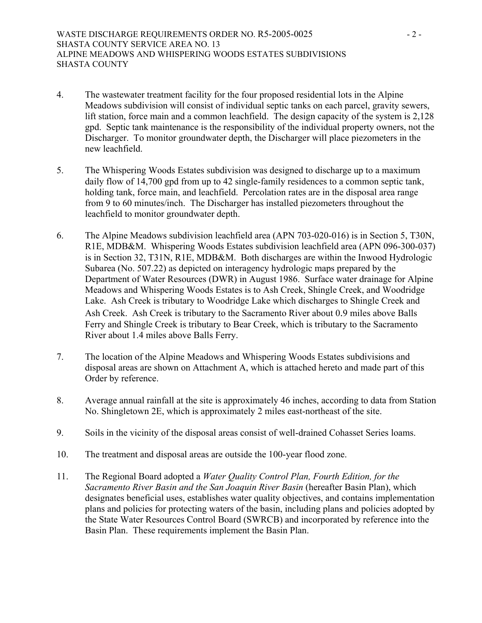- 4. The wastewater treatment facility for the four proposed residential lots in the Alpine Meadows subdivision will consist of individual septic tanks on each parcel, gravity sewers, lift station, force main and a common leachfield. The design capacity of the system is 2,128 gpd. Septic tank maintenance is the responsibility of the individual property owners, not the Discharger. To monitor groundwater depth, the Discharger will place piezometers in the new leachfield.
- 5. The Whispering Woods Estates subdivision was designed to discharge up to a maximum daily flow of 14,700 gpd from up to 42 single-family residences to a common septic tank, holding tank, force main, and leachfield. Percolation rates are in the disposal area range from 9 to 60 minutes/inch. The Discharger has installed piezometers throughout the leachfield to monitor groundwater depth.
- 6. The Alpine Meadows subdivision leachfield area (APN 703-020-016) is in Section 5, T30N, R1E, MDB&M. Whispering Woods Estates subdivision leachfield area (APN 096-300-037) is in Section 32, T31N, R1E, MDB&M. Both discharges are within the Inwood Hydrologic Subarea (No. 507.22) as depicted on interagency hydrologic maps prepared by the Department of Water Resources (DWR) in August 1986. Surface water drainage for Alpine Meadows and Whispering Woods Estates is to Ash Creek, Shingle Creek, and Woodridge Lake. Ash Creek is tributary to Woodridge Lake which discharges to Shingle Creek and Ash Creek. Ash Creek is tributary to the Sacramento River about 0.9 miles above Balls Ferry and Shingle Creek is tributary to Bear Creek, which is tributary to the Sacramento River about 1.4 miles above Balls Ferry.
- 7. The location of the Alpine Meadows and Whispering Woods Estates subdivisions and disposal areas are shown on Attachment A, which is attached hereto and made part of this Order by reference.
- 8. Average annual rainfall at the site is approximately 46 inches, according to data from Station No. Shingletown 2E, which is approximately 2 miles east-northeast of the site.
- 9. Soils in the vicinity of the disposal areas consist of well-drained Cohasset Series loams.
- 10. The treatment and disposal areas are outside the 100-year flood zone.
- 11. The Regional Board adopted a *Water Quality Control Plan, Fourth Edition, for the Sacramento River Basin and the San Joaquin River Basin* (hereafter Basin Plan), which designates beneficial uses, establishes water quality objectives, and contains implementation plans and policies for protecting waters of the basin, including plans and policies adopted by the State Water Resources Control Board (SWRCB) and incorporated by reference into the Basin Plan. These requirements implement the Basin Plan.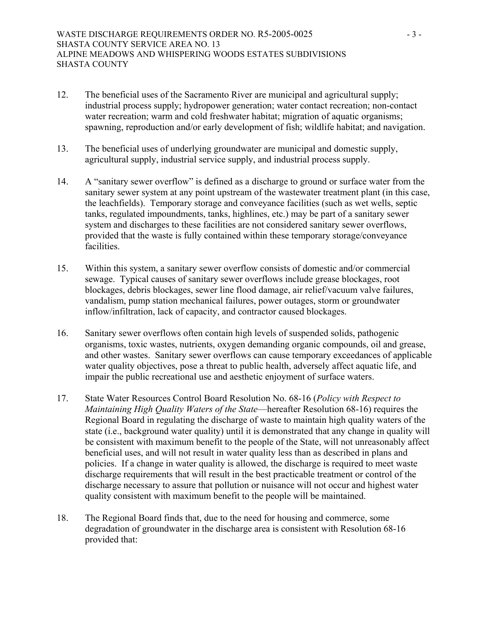- 12. The beneficial uses of the Sacramento River are municipal and agricultural supply; industrial process supply; hydropower generation; water contact recreation; non-contact water recreation; warm and cold freshwater habitat; migration of aquatic organisms; spawning, reproduction and/or early development of fish; wildlife habitat; and navigation.
- 13. The beneficial uses of underlying groundwater are municipal and domestic supply, agricultural supply, industrial service supply, and industrial process supply.
- 14. A "sanitary sewer overflow" is defined as a discharge to ground or surface water from the sanitary sewer system at any point upstream of the wastewater treatment plant (in this case, the leachfields). Temporary storage and conveyance facilities (such as wet wells, septic tanks, regulated impoundments, tanks, highlines, etc.) may be part of a sanitary sewer system and discharges to these facilities are not considered sanitary sewer overflows, provided that the waste is fully contained within these temporary storage/conveyance facilities.
- 15. Within this system, a sanitary sewer overflow consists of domestic and/or commercial sewage. Typical causes of sanitary sewer overflows include grease blockages, root blockages, debris blockages, sewer line flood damage, air relief/vacuum valve failures, vandalism, pump station mechanical failures, power outages, storm or groundwater inflow/infiltration, lack of capacity, and contractor caused blockages.
- 16. Sanitary sewer overflows often contain high levels of suspended solids, pathogenic organisms, toxic wastes, nutrients, oxygen demanding organic compounds, oil and grease, and other wastes. Sanitary sewer overflows can cause temporary exceedances of applicable water quality objectives, pose a threat to public health, adversely affect aquatic life, and impair the public recreational use and aesthetic enjoyment of surface waters.
- 17. State Water Resources Control Board Resolution No. 68-16 (*Policy with Respect to Maintaining High Quality Waters of the State*—hereafter Resolution 68-16) requires the Regional Board in regulating the discharge of waste to maintain high quality waters of the state (i.e., background water quality) until it is demonstrated that any change in quality will be consistent with maximum benefit to the people of the State, will not unreasonably affect beneficial uses, and will not result in water quality less than as described in plans and policies. If a change in water quality is allowed, the discharge is required to meet waste discharge requirements that will result in the best practicable treatment or control of the discharge necessary to assure that pollution or nuisance will not occur and highest water quality consistent with maximum benefit to the people will be maintained.
- 18. The Regional Board finds that, due to the need for housing and commerce, some degradation of groundwater in the discharge area is consistent with Resolution 68-16 provided that: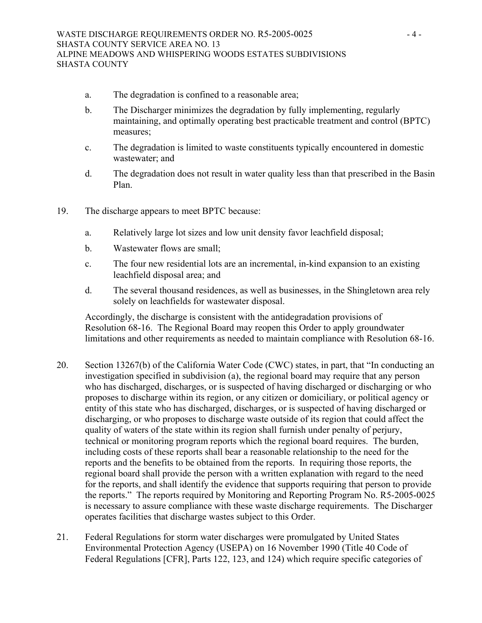- a. The degradation is confined to a reasonable area;
- b. The Discharger minimizes the degradation by fully implementing, regularly maintaining, and optimally operating best practicable treatment and control (BPTC) measures;
- c. The degradation is limited to waste constituents typically encountered in domestic wastewater; and
- d. The degradation does not result in water quality less than that prescribed in the Basin Plan.
- 19. The discharge appears to meet BPTC because:
	- a. Relatively large lot sizes and low unit density favor leachfield disposal;
	- b. Wastewater flows are small;
	- c. The four new residential lots are an incremental, in-kind expansion to an existing leachfield disposal area; and
	- d. The several thousand residences, as well as businesses, in the Shingletown area rely solely on leachfields for wastewater disposal.

Accordingly, the discharge is consistent with the antidegradation provisions of Resolution 68-16. The Regional Board may reopen this Order to apply groundwater limitations and other requirements as needed to maintain compliance with Resolution 68-16.

- 20. Section 13267(b) of the California Water Code (CWC) states, in part, that "In conducting an investigation specified in subdivision (a), the regional board may require that any person who has discharged, discharges, or is suspected of having discharged or discharging or who proposes to discharge within its region, or any citizen or domiciliary, or political agency or entity of this state who has discharged, discharges, or is suspected of having discharged or discharging, or who proposes to discharge waste outside of its region that could affect the quality of waters of the state within its region shall furnish under penalty of perjury, technical or monitoring program reports which the regional board requires. The burden, including costs of these reports shall bear a reasonable relationship to the need for the reports and the benefits to be obtained from the reports. In requiring those reports, the regional board shall provide the person with a written explanation with regard to the need for the reports, and shall identify the evidence that supports requiring that person to provide the reports." The reports required by Monitoring and Reporting Program No. R5-2005-0025 is necessary to assure compliance with these waste discharge requirements. The Discharger operates facilities that discharge wastes subject to this Order.
- 21. Federal Regulations for storm water discharges were promulgated by United States Environmental Protection Agency (USEPA) on 16 November 1990 (Title 40 Code of Federal Regulations [CFR], Parts 122, 123, and 124) which require specific categories of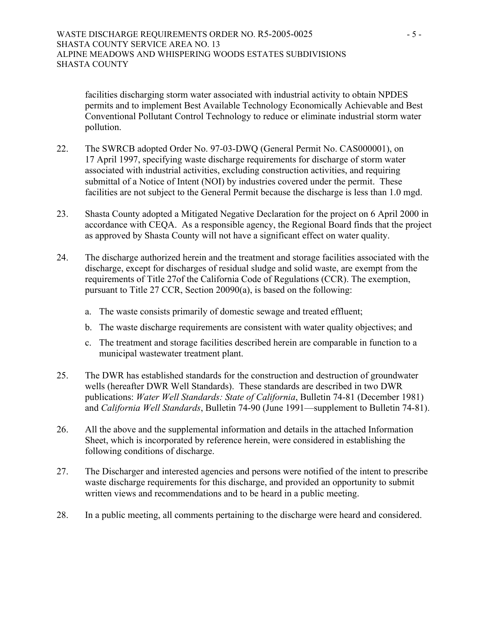facilities discharging storm water associated with industrial activity to obtain NPDES permits and to implement Best Available Technology Economically Achievable and Best Conventional Pollutant Control Technology to reduce or eliminate industrial storm water pollution.

- 22. The SWRCB adopted Order No. 97-03-DWQ (General Permit No. CAS000001), on 17 April 1997, specifying waste discharge requirements for discharge of storm water associated with industrial activities, excluding construction activities, and requiring submittal of a Notice of Intent (NOI) by industries covered under the permit. These facilities are not subject to the General Permit because the discharge is less than 1.0 mgd.
- 23. Shasta County adopted a Mitigated Negative Declaration for the project on 6 April 2000 in accordance with CEQA. As a responsible agency, the Regional Board finds that the project as approved by Shasta County will not have a significant effect on water quality.
- 24. The discharge authorized herein and the treatment and storage facilities associated with the discharge, except for discharges of residual sludge and solid waste, are exempt from the requirements of Title 27of the California Code of Regulations (CCR). The exemption, pursuant to Title 27 CCR, Section 20090(a), is based on the following:
	- a. The waste consists primarily of domestic sewage and treated effluent;
	- b. The waste discharge requirements are consistent with water quality objectives; and
	- c. The treatment and storage facilities described herein are comparable in function to a municipal wastewater treatment plant.
- 25. The DWR has established standards for the construction and destruction of groundwater wells (hereafter DWR Well Standards). These standards are described in two DWR publications: *Water Well Standards: State of California*, Bulletin 74-81 (December 1981) and *California Well Standards*, Bulletin 74-90 (June 1991—supplement to Bulletin 74-81).
- 26. All the above and the supplemental information and details in the attached Information Sheet, which is incorporated by reference herein, were considered in establishing the following conditions of discharge.
- 27. The Discharger and interested agencies and persons were notified of the intent to prescribe waste discharge requirements for this discharge, and provided an opportunity to submit written views and recommendations and to be heard in a public meeting.
- 28. In a public meeting, all comments pertaining to the discharge were heard and considered.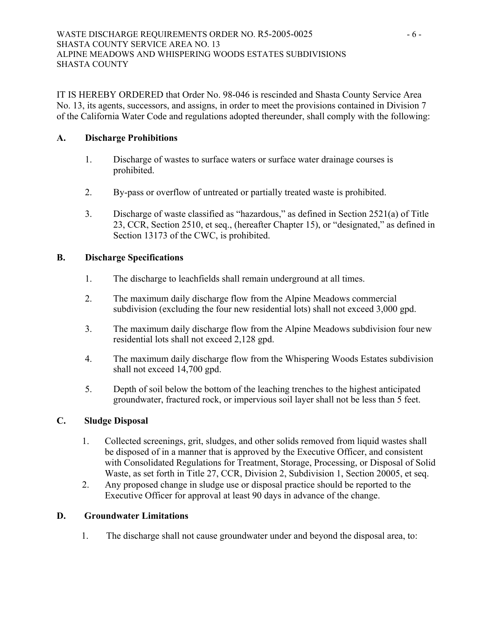IT IS HEREBY ORDERED that Order No. 98-046 is rescinded and Shasta County Service Area No. 13, its agents, successors, and assigns, in order to meet the provisions contained in Division 7 of the California Water Code and regulations adopted thereunder, shall comply with the following:

# **A. Discharge Prohibitions**

- 1. Discharge of wastes to surface waters or surface water drainage courses is prohibited.
- 2. By-pass or overflow of untreated or partially treated waste is prohibited.
- 3. Discharge of waste classified as "hazardous," as defined in Section 2521(a) of Title 23, CCR, Section 2510, et seq., (hereafter Chapter 15), or "designated," as defined in Section 13173 of the CWC, is prohibited.

# **B. Discharge Specifications**

- 1. The discharge to leachfields shall remain underground at all times.
- 2. The maximum daily discharge flow from the Alpine Meadows commercial subdivision (excluding the four new residential lots) shall not exceed 3,000 gpd.
- 3. The maximum daily discharge flow from the Alpine Meadows subdivision four new residential lots shall not exceed 2,128 gpd.
- 4. The maximum daily discharge flow from the Whispering Woods Estates subdivision shall not exceed 14,700 gpd.
- 5. Depth of soil below the bottom of the leaching trenches to the highest anticipated groundwater, fractured rock, or impervious soil layer shall not be less than 5 feet.

# **C. Sludge Disposal**

- 1. Collected screenings, grit, sludges, and other solids removed from liquid wastes shall be disposed of in a manner that is approved by the Executive Officer, and consistent with Consolidated Regulations for Treatment, Storage, Processing, or Disposal of Solid Waste, as set forth in Title 27, CCR, Division 2, Subdivision 1, Section 20005, et seq.
- 2. Any proposed change in sludge use or disposal practice should be reported to the Executive Officer for approval at least 90 days in advance of the change.

# **D. Groundwater Limitations**

1. The discharge shall not cause groundwater under and beyond the disposal area, to: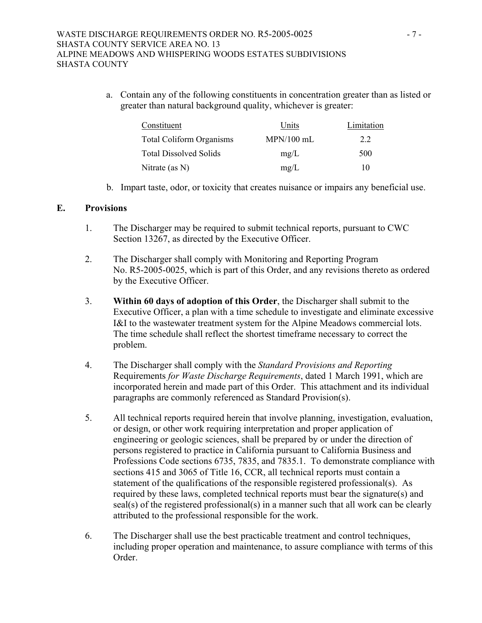a. Contain any of the following constituents in concentration greater than as listed or greater than natural background quality, whichever is greater:

| Constituent                     | Units        | Limitation |
|---------------------------------|--------------|------------|
| <b>Total Coliform Organisms</b> | $MPN/100$ mL | 22         |
| <b>Total Dissolved Solids</b>   | mg/L         | 500        |
| Nitrate (as $N$ )               | mg/L         | 10         |

b. Impart taste, odor, or toxicity that creates nuisance or impairs any beneficial use.

# **E. Provisions**

- 1. The Discharger may be required to submit technical reports, pursuant to CWC Section 13267, as directed by the Executive Officer.
- 2. The Discharger shall comply with Monitoring and Reporting Program No. R5-2005-0025, which is part of this Order, and any revisions thereto as ordered by the Executive Officer.
- 3. **Within 60 days of adoption of this Order**, the Discharger shall submit to the Executive Officer, a plan with a time schedule to investigate and eliminate excessive I&I to the wastewater treatment system for the Alpine Meadows commercial lots. The time schedule shall reflect the shortest timeframe necessary to correct the problem.
- 4. The Discharger shall comply with the *Standard Provisions and Reporting*  Requirements *for Waste Discharge Requirements*, dated 1 March 1991, which are incorporated herein and made part of this Order. This attachment and its individual paragraphs are commonly referenced as Standard Provision(s).
- 5. All technical reports required herein that involve planning, investigation, evaluation, or design, or other work requiring interpretation and proper application of engineering or geologic sciences, shall be prepared by or under the direction of persons registered to practice in California pursuant to California Business and Professions Code sections 6735, 7835, and 7835.1. To demonstrate compliance with sections 415 and 3065 of Title 16, CCR, all technical reports must contain a statement of the qualifications of the responsible registered professional(s). As required by these laws, completed technical reports must bear the signature(s) and seal(s) of the registered professional(s) in a manner such that all work can be clearly attributed to the professional responsible for the work.
- 6. The Discharger shall use the best practicable treatment and control techniques, including proper operation and maintenance, to assure compliance with terms of this Order.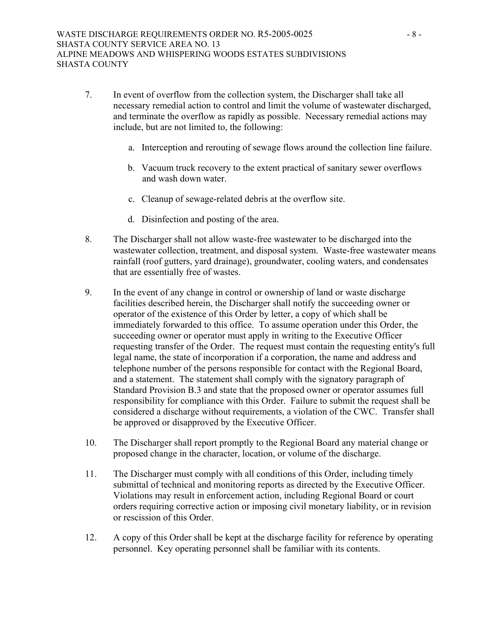- 7. In event of overflow from the collection system, the Discharger shall take all necessary remedial action to control and limit the volume of wastewater discharged, and terminate the overflow as rapidly as possible. Necessary remedial actions may include, but are not limited to, the following:
	- a. Interception and rerouting of sewage flows around the collection line failure.
	- b. Vacuum truck recovery to the extent practical of sanitary sewer overflows and wash down water.
	- c. Cleanup of sewage-related debris at the overflow site.
	- d. Disinfection and posting of the area.
- 8. The Discharger shall not allow waste-free wastewater to be discharged into the wastewater collection, treatment, and disposal system. Waste-free wastewater means rainfall (roof gutters, yard drainage), groundwater, cooling waters, and condensates that are essentially free of wastes.
- 9. In the event of any change in control or ownership of land or waste discharge facilities described herein, the Discharger shall notify the succeeding owner or operator of the existence of this Order by letter, a copy of which shall be immediately forwarded to this office. To assume operation under this Order, the succeeding owner or operator must apply in writing to the Executive Officer requesting transfer of the Order. The request must contain the requesting entity's full legal name, the state of incorporation if a corporation, the name and address and telephone number of the persons responsible for contact with the Regional Board, and a statement. The statement shall comply with the signatory paragraph of Standard Provision B.3 and state that the proposed owner or operator assumes full responsibility for compliance with this Order. Failure to submit the request shall be considered a discharge without requirements, a violation of the CWC. Transfer shall be approved or disapproved by the Executive Officer.
- 10. The Discharger shall report promptly to the Regional Board any material change or proposed change in the character, location, or volume of the discharge.
- 11. The Discharger must comply with all conditions of this Order, including timely submittal of technical and monitoring reports as directed by the Executive Officer. Violations may result in enforcement action, including Regional Board or court orders requiring corrective action or imposing civil monetary liability, or in revision or rescission of this Order.
- 12. A copy of this Order shall be kept at the discharge facility for reference by operating personnel. Key operating personnel shall be familiar with its contents.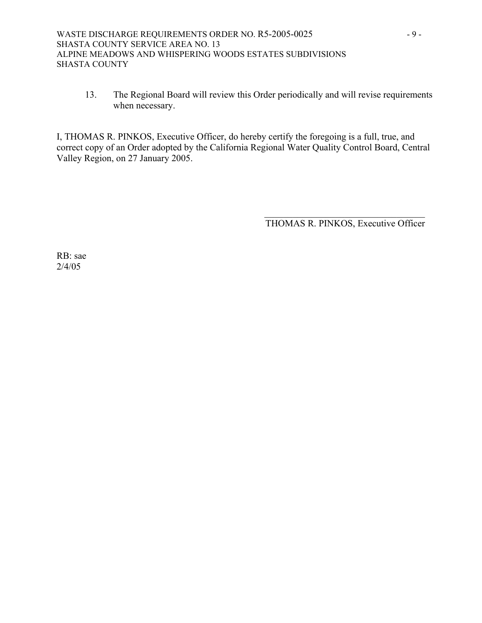13. The Regional Board will review this Order periodically and will revise requirements when necessary.

I, THOMAS R. PINKOS, Executive Officer, do hereby certify the foregoing is a full, true, and correct copy of an Order adopted by the California Regional Water Quality Control Board, Central Valley Region, on 27 January 2005.

 $\mathcal{L}_\text{max}$  and  $\mathcal{L}_\text{max}$  and  $\mathcal{L}_\text{max}$  and  $\mathcal{L}_\text{max}$  and  $\mathcal{L}_\text{max}$  and  $\mathcal{L}_\text{max}$ 

THOMAS R. PINKOS, Executive Officer

RB: sae 2/4/05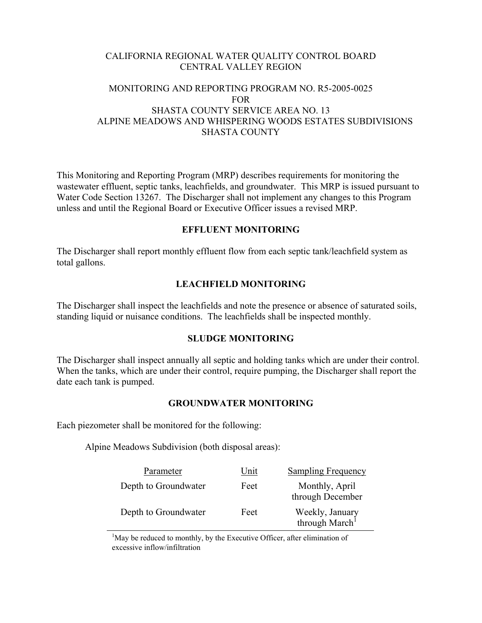# CALIFORNIA REGIONAL WATER QUALITY CONTROL BOARD CENTRAL VALLEY REGION

### MONITORING AND REPORTING PROGRAM NO. R5-2005-0025 FOR SHASTA COUNTY SERVICE AREA NO. 13 ALPINE MEADOWS AND WHISPERING WOODS ESTATES SUBDIVISIONS SHASTA COUNTY

This Monitoring and Reporting Program (MRP) describes requirements for monitoring the wastewater effluent, septic tanks, leachfields, and groundwater. This MRP is issued pursuant to Water Code Section 13267. The Discharger shall not implement any changes to this Program unless and until the Regional Board or Executive Officer issues a revised MRP.

### **EFFLUENT MONITORING**

The Discharger shall report monthly effluent flow from each septic tank/leachfield system as total gallons.

### **LEACHFIELD MONITORING**

The Discharger shall inspect the leachfields and note the presence or absence of saturated soils, standing liquid or nuisance conditions. The leachfields shall be inspected monthly.

#### **SLUDGE MONITORING**

The Discharger shall inspect annually all septic and holding tanks which are under their control. When the tanks, which are under their control, require pumping, the Discharger shall report the date each tank is pumped.

### **GROUNDWATER MONITORING**

Each piezometer shall be monitored for the following:

Alpine Meadows Subdivision (both disposal areas):

| Parameter            | Unit | <b>Sampling Frequency</b>                     |
|----------------------|------|-----------------------------------------------|
| Depth to Groundwater | Feet | Monthly, April<br>through December            |
| Depth to Groundwater | Feet | Weekly, January<br>through March <sup>1</sup> |

<sup>1</sup>May be reduced to monthly, by the Executive Officer, after elimination of excessive inflow/infiltration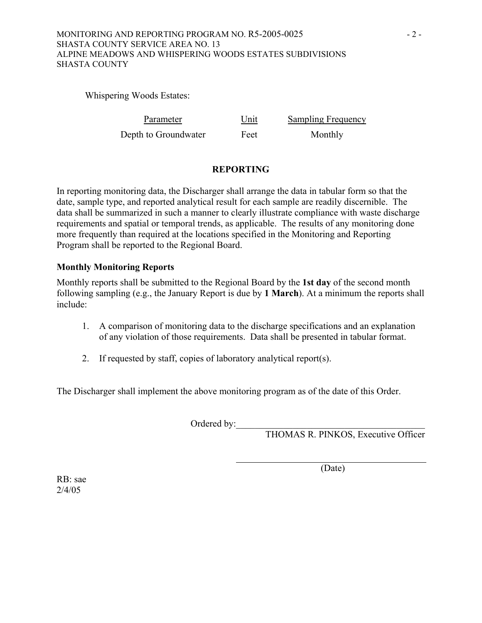### MONITORING AND REPORTING PROGRAM NO. R5-2005-0025 - 2 -SHASTA COUNTY SERVICE AREA NO. 13 ALPINE MEADOWS AND WHISPERING WOODS ESTATES SUBDIVISIONS SHASTA COUNTY

Whispering Woods Estates:

| Parameter            | Unit | <b>Sampling Frequency</b> |
|----------------------|------|---------------------------|
| Depth to Groundwater | Feet | Monthly                   |

# **REPORTING**

In reporting monitoring data, the Discharger shall arrange the data in tabular form so that the date, sample type, and reported analytical result for each sample are readily discernible. The data shall be summarized in such a manner to clearly illustrate compliance with waste discharge requirements and spatial or temporal trends, as applicable. The results of any monitoring done more frequently than required at the locations specified in the Monitoring and Reporting Program shall be reported to the Regional Board.

# **Monthly Monitoring Reports**

Monthly reports shall be submitted to the Regional Board by the **1st day** of the second month following sampling (e.g., the January Report is due by **1 March**). At a minimum the reports shall include:

- 1. A comparison of monitoring data to the discharge specifications and an explanation of any violation of those requirements. Data shall be presented in tabular format.
- 2. If requested by staff, copies of laboratory analytical report(s).

The Discharger shall implement the above monitoring program as of the date of this Order.

Ordered by:\_\_\_\_\_\_\_\_\_\_\_\_\_\_\_\_\_\_\_\_\_\_\_\_\_\_\_\_\_\_\_\_\_\_\_\_\_\_\_\_

THOMAS R. PINKOS, Executive Officer

(Date)

RB: sae 2/4/05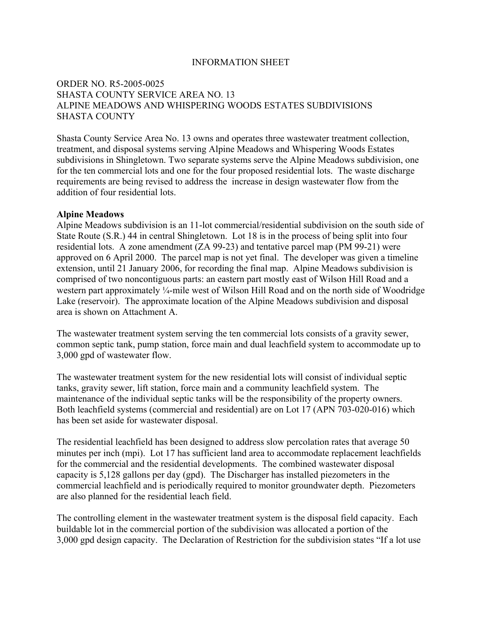### INFORMATION SHEET

### ORDER NO. R5-2005-0025 SHASTA COUNTY SERVICE AREA NO. 13 ALPINE MEADOWS AND WHISPERING WOODS ESTATES SUBDIVISIONS SHASTA COUNTY

Shasta County Service Area No. 13 owns and operates three wastewater treatment collection, treatment, and disposal systems serving Alpine Meadows and Whispering Woods Estates subdivisions in Shingletown. Two separate systems serve the Alpine Meadows subdivision, one for the ten commercial lots and one for the four proposed residential lots. The waste discharge requirements are being revised to address the increase in design wastewater flow from the addition of four residential lots.

#### **Alpine Meadows**

Alpine Meadows subdivision is an 11-lot commercial/residential subdivision on the south side of State Route (S.R.) 44 in central Shingletown. Lot 18 is in the process of being split into four residential lots. A zone amendment (ZA 99-23) and tentative parcel map (PM 99-21) were approved on 6 April 2000. The parcel map is not yet final. The developer was given a timeline extension, until 21 January 2006, for recording the final map. Alpine Meadows subdivision is comprised of two noncontiguous parts: an eastern part mostly east of Wilson Hill Road and a western part approximately ¼-mile west of Wilson Hill Road and on the north side of Woodridge Lake (reservoir). The approximate location of the Alpine Meadows subdivision and disposal area is shown on Attachment A.

The wastewater treatment system serving the ten commercial lots consists of a gravity sewer, common septic tank, pump station, force main and dual leachfield system to accommodate up to 3,000 gpd of wastewater flow.

The wastewater treatment system for the new residential lots will consist of individual septic tanks, gravity sewer, lift station, force main and a community leachfield system. The maintenance of the individual septic tanks will be the responsibility of the property owners. Both leachfield systems (commercial and residential) are on Lot 17 (APN 703-020-016) which has been set aside for wastewater disposal.

The residential leachfield has been designed to address slow percolation rates that average 50 minutes per inch (mpi). Lot 17 has sufficient land area to accommodate replacement leachfields for the commercial and the residential developments. The combined wastewater disposal capacity is 5,128 gallons per day (gpd). The Discharger has installed piezometers in the commercial leachfield and is periodically required to monitor groundwater depth. Piezometers are also planned for the residential leach field.

The controlling element in the wastewater treatment system is the disposal field capacity. Each buildable lot in the commercial portion of the subdivision was allocated a portion of the 3,000 gpd design capacity. The Declaration of Restriction for the subdivision states "If a lot use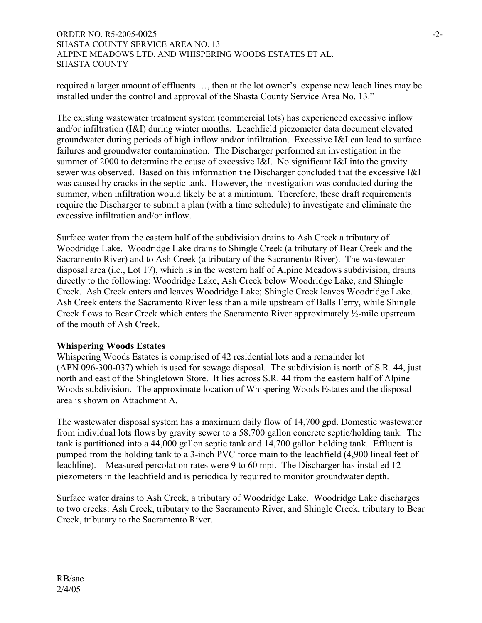### ORDER NO. R5-2005-0025 -2- SHASTA COUNTY SERVICE AREA NO. 13 ALPINE MEADOWS LTD. AND WHISPERING WOODS ESTATES ET AL. SHASTA COUNTY

required a larger amount of effluents …, then at the lot owner's expense new leach lines may be installed under the control and approval of the Shasta County Service Area No. 13."

The existing wastewater treatment system (commercial lots) has experienced excessive inflow and/or infiltration (I&I) during winter months. Leachfield piezometer data document elevated groundwater during periods of high inflow and/or infiltration. Excessive I&I can lead to surface failures and groundwater contamination. The Discharger performed an investigation in the summer of 2000 to determine the cause of excessive I&I. No significant I&I into the gravity sewer was observed. Based on this information the Discharger concluded that the excessive I&I was caused by cracks in the septic tank. However, the investigation was conducted during the summer, when infiltration would likely be at a minimum. Therefore, these draft requirements require the Discharger to submit a plan (with a time schedule) to investigate and eliminate the excessive infiltration and/or inflow.

Surface water from the eastern half of the subdivision drains to Ash Creek a tributary of Woodridge Lake. Woodridge Lake drains to Shingle Creek (a tributary of Bear Creek and the Sacramento River) and to Ash Creek (a tributary of the Sacramento River). The wastewater disposal area (i.e., Lot 17), which is in the western half of Alpine Meadows subdivision, drains directly to the following: Woodridge Lake, Ash Creek below Woodridge Lake, and Shingle Creek. Ash Creek enters and leaves Woodridge Lake; Shingle Creek leaves Woodridge Lake. Ash Creek enters the Sacramento River less than a mile upstream of Balls Ferry, while Shingle Creek flows to Bear Creek which enters the Sacramento River approximately ½-mile upstream of the mouth of Ash Creek.

#### **Whispering Woods Estates**

Whispering Woods Estates is comprised of 42 residential lots and a remainder lot (APN 096-300-037) which is used for sewage disposal. The subdivision is north of S.R. 44, just north and east of the Shingletown Store. It lies across S.R. 44 from the eastern half of Alpine Woods subdivision. The approximate location of Whispering Woods Estates and the disposal area is shown on Attachment A.

The wastewater disposal system has a maximum daily flow of 14,700 gpd. Domestic wastewater from individual lots flows by gravity sewer to a 58,700 gallon concrete septic/holding tank. The tank is partitioned into a 44,000 gallon septic tank and 14,700 gallon holding tank. Effluent is pumped from the holding tank to a 3-inch PVC force main to the leachfield (4,900 lineal feet of leachline). Measured percolation rates were 9 to 60 mpi. The Discharger has installed 12 piezometers in the leachfield and is periodically required to monitor groundwater depth.

Surface water drains to Ash Creek, a tributary of Woodridge Lake. Woodridge Lake discharges to two creeks: Ash Creek, tributary to the Sacramento River, and Shingle Creek, tributary to Bear Creek, tributary to the Sacramento River.